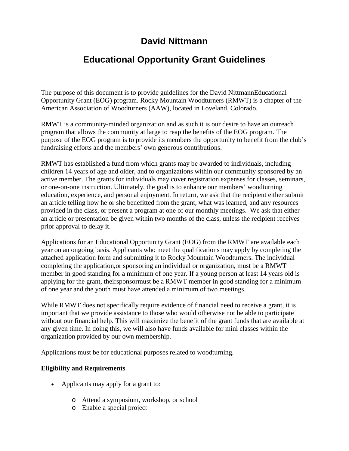## **David Nittmann**

# **Educational Opportunity Grant Guidelines**

The purpose of this document is to provide guidelines for the David NittmannEducational Opportunity Grant (EOG) program. Rocky Mountain Woodturners (RMWT) is a chapter of the American Association of Woodturners (AAW), located in Loveland, Colorado.

RMWT is a community-minded organization and as such it is our desire to have an outreach program that allows the community at large to reap the benefits of the EOG program. The purpose of the EOG program is to provide its members the opportunity to benefit from the club's fundraising efforts and the members' own generous contributions.

RMWT has established a fund from which grants may be awarded to individuals, including children 14 years of age and older, and to organizations within our community sponsored by an active member. The grants for individuals may cover registration expenses for classes, seminars, or one-on-one instruction. Ultimately, the goal is to enhance our members' woodturning education, experience, and personal enjoyment. In return, we ask that the recipient either submit an article telling how he or she benefitted from the grant, what was learned, and any resources provided in the class, or present a program at one of our monthly meetings. We ask that either an article or presentation be given within two months of the class, unless the recipient receives prior approval to delay it.

Applications for an Educational Opportunity Grant (EOG) from the RMWT are available each year on an ongoing basis. Applicants who meet the qualifications may apply by completing the attached application form and submitting it to Rocky Mountain Woodturners. The individual completing the application,or sponsoring an individual or organization, must be a RMWT member in good standing for a minimum of one year. If a young person at least 14 years old is applying for the grant, theirsponsormust be a RMWT member in good standing for a minimum of one year and the youth must have attended a minimum of two meetings.

While RMWT does not specifically require evidence of financial need to receive a grant, it is important that we provide assistance to those who would otherwise not be able to participate without our financial help. This will maximize the benefit of the grant funds that are available at any given time. In doing this, we will also have funds available for mini classes within the organization provided by our own membership.

Applications must be for educational purposes related to woodturning.

### **Eligibility and Requirements**

- Applicants may apply for a grant to:
	- o Attend a symposium, workshop, or school
	- o Enable a special project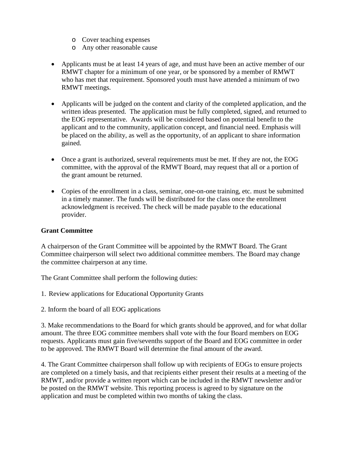- o Cover teaching expenses
- o Any other reasonable cause
- Applicants must be at least 14 years of age, and must have been an active member of our RMWT chapter for a minimum of one year, or be sponsored by a member of RMWT who has met that requirement. Sponsored youth must have attended a minimum of two RMWT meetings.
- Applicants will be judged on the content and clarity of the completed application, and the written ideas presented. The application must be fully completed, signed, and returned to the EOG representative. Awards will be considered based on potential benefit to the applicant and to the community, application concept, and financial need. Emphasis will be placed on the ability, as well as the opportunity, of an applicant to share information gained.
- Once a grant is authorized, several requirements must be met. If they are not, the EOG committee, with the approval of the RMWT Board, may request that all or a portion of the grant amount be returned.
- Copies of the enrollment in a class, seminar, one-on-one training, etc. must be submitted in a timely manner. The funds will be distributed for the class once the enrollment acknowledgment is received. The check will be made payable to the educational provider.

### **Grant Committee**

A chairperson of the Grant Committee will be appointed by the RMWT Board. The Grant Committee chairperson will select two additional committee members. The Board may change the committee chairperson at any time.

The Grant Committee shall perform the following duties:

- 1. Review applications for Educational Opportunity Grants
- 2. Inform the board of all EOG applications

3. Make recommendations to the Board for which grants should be approved, and for what dollar amount. The three EOG committee members shall vote with the four Board members on EOG requests. Applicants must gain five/sevenths support of the Board and EOG committee in order to be approved. The RMWT Board will determine the final amount of the award.

4. The Grant Committee chairperson shall follow up with recipients of EOGs to ensure projects are completed on a timely basis, and that recipients either present their results at a meeting of the RMWT, and/or provide a written report which can be included in the RMWT newsletter and/or be posted on the RMWT website. This reporting process is agreed to by signature on the application and must be completed within two months of taking the class.